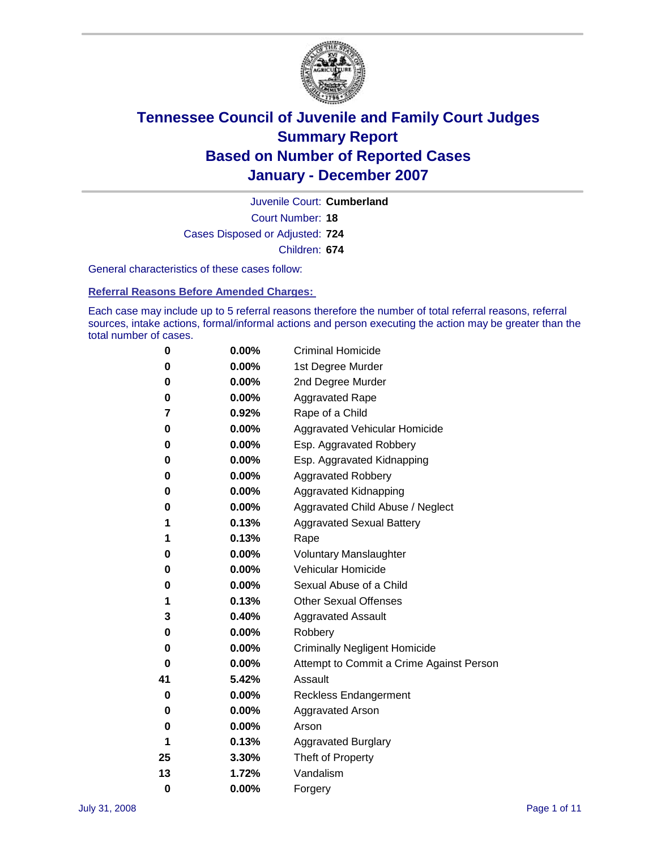

Court Number: **18** Juvenile Court: **Cumberland** Cases Disposed or Adjusted: **724** Children: **674**

General characteristics of these cases follow:

**Referral Reasons Before Amended Charges:** 

Each case may include up to 5 referral reasons therefore the number of total referral reasons, referral sources, intake actions, formal/informal actions and person executing the action may be greater than the total number of cases.

| 0  | 0.00%    | <b>Criminal Homicide</b>                 |
|----|----------|------------------------------------------|
| 0  | 0.00%    | 1st Degree Murder                        |
| 0  | $0.00\%$ | 2nd Degree Murder                        |
| 0  | 0.00%    | <b>Aggravated Rape</b>                   |
| 7  | 0.92%    | Rape of a Child                          |
| 0  | 0.00%    | Aggravated Vehicular Homicide            |
| 0  | 0.00%    | Esp. Aggravated Robbery                  |
| 0  | 0.00%    | Esp. Aggravated Kidnapping               |
| 0  | 0.00%    | <b>Aggravated Robbery</b>                |
| 0  | $0.00\%$ | Aggravated Kidnapping                    |
| 0  | 0.00%    | Aggravated Child Abuse / Neglect         |
| 1  | 0.13%    | <b>Aggravated Sexual Battery</b>         |
| 1  | 0.13%    | Rape                                     |
| 0  | 0.00%    | <b>Voluntary Manslaughter</b>            |
| 0  | 0.00%    | Vehicular Homicide                       |
| 0  | 0.00%    | Sexual Abuse of a Child                  |
| 1  | 0.13%    | <b>Other Sexual Offenses</b>             |
| 3  | 0.40%    | <b>Aggravated Assault</b>                |
| 0  | $0.00\%$ | Robbery                                  |
| 0  | 0.00%    | <b>Criminally Negligent Homicide</b>     |
| 0  | $0.00\%$ | Attempt to Commit a Crime Against Person |
| 41 | 5.42%    | Assault                                  |
| 0  | 0.00%    | <b>Reckless Endangerment</b>             |
| 0  | 0.00%    | <b>Aggravated Arson</b>                  |
| 0  | 0.00%    | Arson                                    |
| 1  | 0.13%    | <b>Aggravated Burglary</b>               |
| 25 | 3.30%    | Theft of Property                        |
| 13 | 1.72%    | Vandalism                                |
| 0  | 0.00%    | Forgery                                  |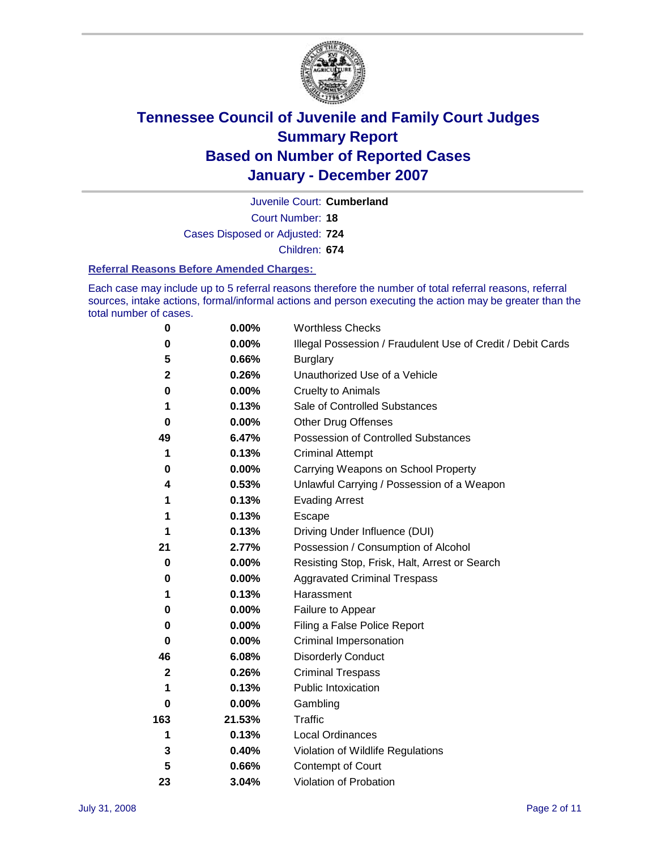

Court Number: **18** Juvenile Court: **Cumberland** Cases Disposed or Adjusted: **724** Children: **674**

### **Referral Reasons Before Amended Charges:**

Each case may include up to 5 referral reasons therefore the number of total referral reasons, referral sources, intake actions, formal/informal actions and person executing the action may be greater than the total number of cases.

| 0            | 0.00%    | <b>Worthless Checks</b>                                     |
|--------------|----------|-------------------------------------------------------------|
| 0            | $0.00\%$ | Illegal Possession / Fraudulent Use of Credit / Debit Cards |
| 5            | 0.66%    | <b>Burglary</b>                                             |
| $\mathbf 2$  | 0.26%    | Unauthorized Use of a Vehicle                               |
| 0            | $0.00\%$ | <b>Cruelty to Animals</b>                                   |
| 1            | 0.13%    | Sale of Controlled Substances                               |
| 0            | 0.00%    | <b>Other Drug Offenses</b>                                  |
| 49           | 6.47%    | <b>Possession of Controlled Substances</b>                  |
| 1            | 0.13%    | <b>Criminal Attempt</b>                                     |
| 0            | 0.00%    | Carrying Weapons on School Property                         |
| 4            | 0.53%    | Unlawful Carrying / Possession of a Weapon                  |
| 1            | 0.13%    | <b>Evading Arrest</b>                                       |
| 1            | 0.13%    | Escape                                                      |
|              | 0.13%    | Driving Under Influence (DUI)                               |
| 21           | 2.77%    | Possession / Consumption of Alcohol                         |
| $\bf{0}$     | $0.00\%$ | Resisting Stop, Frisk, Halt, Arrest or Search               |
| 0            | 0.00%    | <b>Aggravated Criminal Trespass</b>                         |
| 1            | 0.13%    | Harassment                                                  |
| 0            | $0.00\%$ | Failure to Appear                                           |
| 0            | 0.00%    | Filing a False Police Report                                |
| 0            | $0.00\%$ | Criminal Impersonation                                      |
| 46           | 6.08%    | <b>Disorderly Conduct</b>                                   |
| $\mathbf{2}$ | 0.26%    | <b>Criminal Trespass</b>                                    |
| 1            | 0.13%    | Public Intoxication                                         |
| 0            | $0.00\%$ | Gambling                                                    |
| 163          | 21.53%   | Traffic                                                     |
| 1            | 0.13%    | Local Ordinances                                            |
| 3            | 0.40%    | Violation of Wildlife Regulations                           |
| 5            | 0.66%    | Contempt of Court                                           |
| 23           | 3.04%    | Violation of Probation                                      |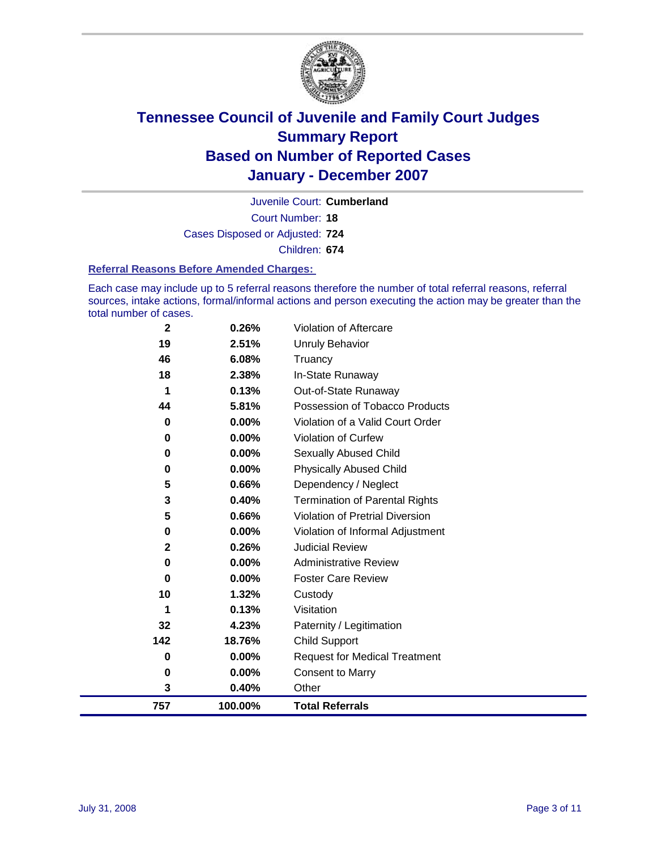

Court Number: **18** Juvenile Court: **Cumberland** Cases Disposed or Adjusted: **724** Children: **674**

### **Referral Reasons Before Amended Charges:**

Each case may include up to 5 referral reasons therefore the number of total referral reasons, referral sources, intake actions, formal/informal actions and person executing the action may be greater than the total number of cases.

| 757         | 100.00% | <b>Total Referrals</b>                 |
|-------------|---------|----------------------------------------|
| 3           | 0.40%   | Other                                  |
| 0           | 0.00%   | <b>Consent to Marry</b>                |
| 0           | 0.00%   | <b>Request for Medical Treatment</b>   |
| 142         | 18.76%  | <b>Child Support</b>                   |
| 32          | 4.23%   | Paternity / Legitimation               |
| 1           | 0.13%   | Visitation                             |
| 10          | 1.32%   | Custody                                |
| 0           | 0.00%   | <b>Foster Care Review</b>              |
| 0           | 0.00%   | <b>Administrative Review</b>           |
| $\mathbf 2$ | 0.26%   | <b>Judicial Review</b>                 |
| 0           | 0.00%   | Violation of Informal Adjustment       |
| 5           | 0.66%   | <b>Violation of Pretrial Diversion</b> |
| 3           | 0.40%   | <b>Termination of Parental Rights</b>  |
| 5           | 0.66%   | Dependency / Neglect                   |
| 0           | 0.00%   | <b>Physically Abused Child</b>         |
| 0           | 0.00%   | <b>Sexually Abused Child</b>           |
| 0           | 0.00%   | Violation of Curfew                    |
| 0           | 0.00%   | Violation of a Valid Court Order       |
| 44          | 5.81%   | Possession of Tobacco Products         |
| 1           | 0.13%   | Out-of-State Runaway                   |
| 18          | 2.38%   | In-State Runaway                       |
| 46          | 6.08%   | Truancy                                |
| 19          | 2.51%   | <b>Unruly Behavior</b>                 |
| $\mathbf 2$ | 0.26%   | Violation of Aftercare                 |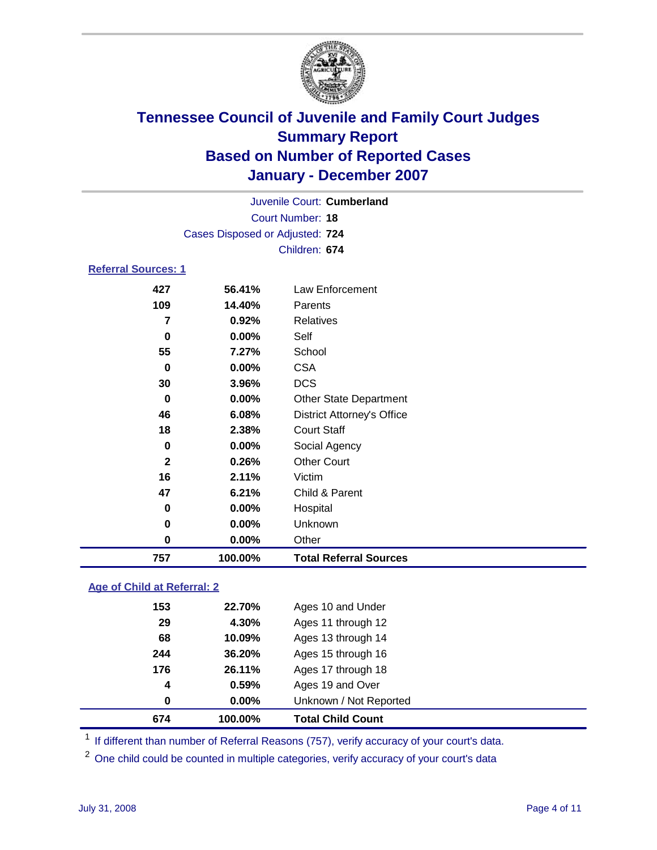

| Juvenile Court: Cumberland      |  |
|---------------------------------|--|
| Court Number: 18                |  |
| Cases Disposed or Adjusted: 724 |  |
| Children: 674                   |  |

### **Referral Sources: 1**

| 427          | 56.41%  | Law Enforcement                   |
|--------------|---------|-----------------------------------|
| 109          | 14.40%  | Parents                           |
| 7            | 0.92%   | Relatives                         |
| $\bf{0}$     | 0.00%   | Self                              |
| 55           | 7.27%   | School                            |
| 0            | 0.00%   | <b>CSA</b>                        |
| 30           | 3.96%   | <b>DCS</b>                        |
| 0            | 0.00%   | <b>Other State Department</b>     |
| 46           | 6.08%   | <b>District Attorney's Office</b> |
| 18           | 2.38%   | <b>Court Staff</b>                |
| 0            | 0.00%   | Social Agency                     |
| $\mathbf{2}$ | 0.26%   | <b>Other Court</b>                |
| 16           | 2.11%   | Victim                            |
| 47           | 6.21%   | Child & Parent                    |
| 0            | 0.00%   | Hospital                          |
| 0            | 0.00%   | Unknown                           |
| 0            | 0.00%   | Other                             |
| 757          | 100.00% | <b>Total Referral Sources</b>     |

### **Age of Child at Referral: 2**

| 674 | 100.00% | <b>Total Child Count</b> |
|-----|---------|--------------------------|
| 0   | 0.00%   | Unknown / Not Reported   |
| 4   | 0.59%   | Ages 19 and Over         |
| 176 | 26.11%  | Ages 17 through 18       |
| 244 | 36.20%  | Ages 15 through 16       |
| 68  | 10.09%  | Ages 13 through 14       |
| 29  | 4.30%   | Ages 11 through 12       |
| 153 | 22.70%  | Ages 10 and Under        |
|     |         |                          |

<sup>1</sup> If different than number of Referral Reasons (757), verify accuracy of your court's data.

One child could be counted in multiple categories, verify accuracy of your court's data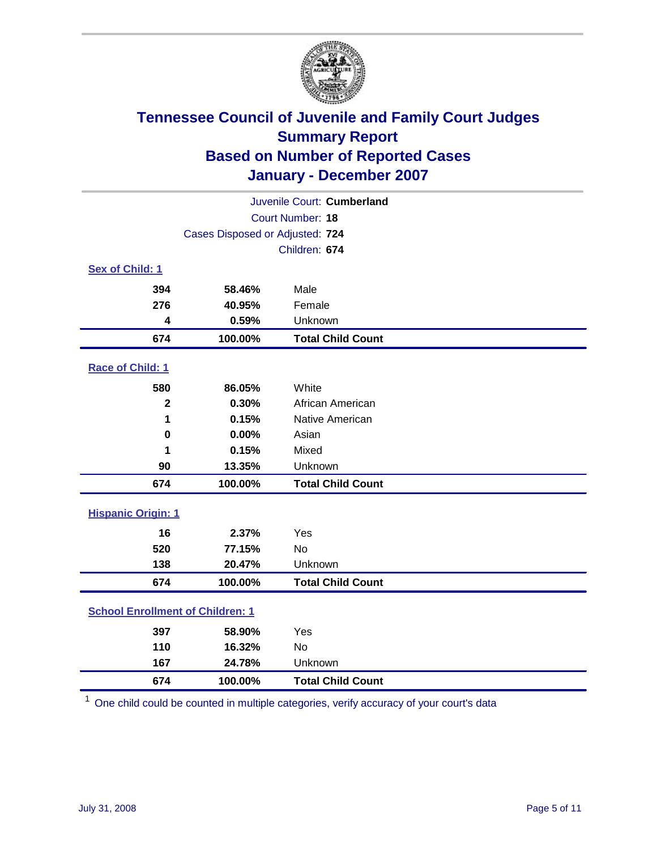

| Juvenile Court: Cumberland              |         |                          |  |  |
|-----------------------------------------|---------|--------------------------|--|--|
| <b>Court Number: 18</b>                 |         |                          |  |  |
| Cases Disposed or Adjusted: 724         |         |                          |  |  |
|                                         |         | Children: 674            |  |  |
| Sex of Child: 1                         |         |                          |  |  |
| 394                                     | 58.46%  | Male                     |  |  |
| 276                                     | 40.95%  | Female                   |  |  |
| 4                                       | 0.59%   | Unknown                  |  |  |
| 674                                     | 100.00% | <b>Total Child Count</b> |  |  |
| Race of Child: 1                        |         |                          |  |  |
| 580                                     | 86.05%  | White                    |  |  |
| $\mathbf 2$                             | 0.30%   | African American         |  |  |
| 1                                       | 0.15%   | Native American          |  |  |
| 0                                       | 0.00%   | Asian                    |  |  |
| 1                                       | 0.15%   | Mixed                    |  |  |
| 90                                      | 13.35%  | Unknown                  |  |  |
| 674                                     | 100.00% | <b>Total Child Count</b> |  |  |
| <b>Hispanic Origin: 1</b>               |         |                          |  |  |
| 16                                      | 2.37%   | Yes                      |  |  |
| 520                                     | 77.15%  | <b>No</b>                |  |  |
| 138                                     | 20.47%  | Unknown                  |  |  |
| 674                                     | 100.00% | <b>Total Child Count</b> |  |  |
| <b>School Enrollment of Children: 1</b> |         |                          |  |  |
| 397                                     | 58.90%  | Yes                      |  |  |
| 110                                     | 16.32%  | No                       |  |  |
| 167                                     | 24.78%  | Unknown                  |  |  |
| 674                                     | 100.00% | <b>Total Child Count</b> |  |  |

One child could be counted in multiple categories, verify accuracy of your court's data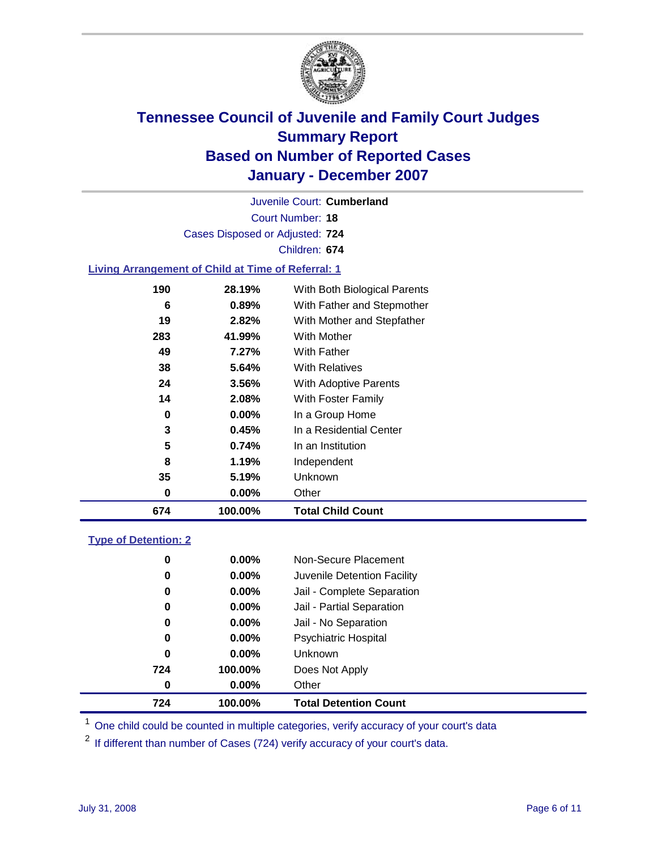

Court Number: **18** Juvenile Court: **Cumberland** Cases Disposed or Adjusted: **724** Children: **674 Living Arrangement of Child at Time of Referral: 1 28.19%** With Both Biological Parents

| 674 | 100.00%    | <b>Total Child Count</b>     |
|-----|------------|------------------------------|
| 0   | $0.00\%$   | Other                        |
| 35  | 5.19%      | Unknown                      |
| 8   | 1.19%      | Independent                  |
| 5   | 0.74%      | In an Institution            |
| 3   | 0.45%      | In a Residential Center      |
| 0   | $0.00\%$   | In a Group Home              |
| 14  | 2.08%      | With Foster Family           |
| 24  | 3.56%      | <b>With Adoptive Parents</b> |
| 38  | 5.64%      | <b>With Relatives</b>        |
| 49  | 7.27%      | With Father                  |
| 283 | 41.99%     | <b>With Mother</b>           |
| 19  | 2.82%      | With Mother and Stepfather   |
| 6   | 0.89%      | With Father and Stepmother   |
| .   | _v. . v /v | """" Dow Diologioù i arc'ho  |

### **Type of Detention: 2**

| 724 | 100.00%  | <b>Total Detention Count</b> |  |
|-----|----------|------------------------------|--|
| 0   | 0.00%    | Other                        |  |
| 724 | 100.00%  | Does Not Apply               |  |
| 0   | $0.00\%$ | <b>Unknown</b>               |  |
| 0   | $0.00\%$ | <b>Psychiatric Hospital</b>  |  |
| 0   | $0.00\%$ | Jail - No Separation         |  |
| 0   | $0.00\%$ | Jail - Partial Separation    |  |
| 0   | $0.00\%$ | Jail - Complete Separation   |  |
| 0   | $0.00\%$ | Juvenile Detention Facility  |  |
| 0   | $0.00\%$ | Non-Secure Placement         |  |
|     |          |                              |  |

<sup>1</sup> One child could be counted in multiple categories, verify accuracy of your court's data

<sup>2</sup> If different than number of Cases (724) verify accuracy of your court's data.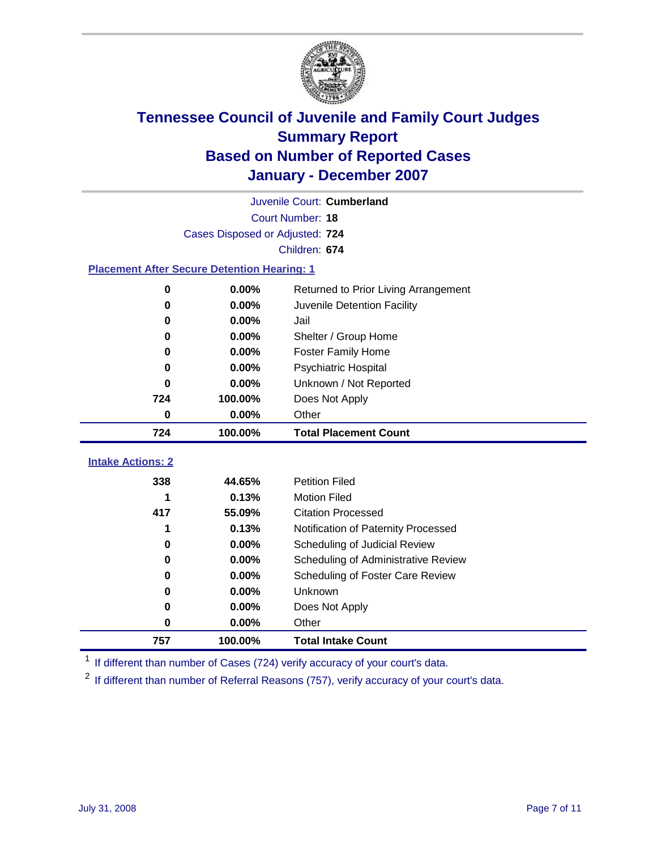

| Juvenile Court: Cumberland                         |               |                                      |  |  |  |  |
|----------------------------------------------------|---------------|--------------------------------------|--|--|--|--|
| Court Number: 18                                   |               |                                      |  |  |  |  |
| Cases Disposed or Adjusted: 724                    |               |                                      |  |  |  |  |
|                                                    | Children: 674 |                                      |  |  |  |  |
| <b>Placement After Secure Detention Hearing: 1</b> |               |                                      |  |  |  |  |
| 0                                                  | 0.00%         | Returned to Prior Living Arrangement |  |  |  |  |
| 0                                                  | 0.00%         | Juvenile Detention Facility          |  |  |  |  |
| 0                                                  | 0.00%         | Jail                                 |  |  |  |  |
| 0                                                  | 0.00%         | Shelter / Group Home                 |  |  |  |  |
| 0                                                  | 0.00%         | <b>Foster Family Home</b>            |  |  |  |  |
| 0                                                  | 0.00%         | <b>Psychiatric Hospital</b>          |  |  |  |  |
| 0                                                  | 0.00%         | Unknown / Not Reported               |  |  |  |  |
| 724                                                | 100.00%       | Does Not Apply                       |  |  |  |  |
| 0                                                  | 0.00%         | Other                                |  |  |  |  |
| 724                                                | 100.00%       | <b>Total Placement Count</b>         |  |  |  |  |
| <b>Intake Actions: 2</b>                           |               |                                      |  |  |  |  |
| 338                                                |               |                                      |  |  |  |  |
|                                                    | 44.65%        | <b>Petition Filed</b>                |  |  |  |  |
| 1                                                  | 0.13%         | <b>Motion Filed</b>                  |  |  |  |  |
| 417                                                | 55.09%        | <b>Citation Processed</b>            |  |  |  |  |
| 1                                                  | 0.13%         | Notification of Paternity Processed  |  |  |  |  |
| 0                                                  | 0.00%         | Scheduling of Judicial Review        |  |  |  |  |
| 0                                                  | 0.00%         | Scheduling of Administrative Review  |  |  |  |  |
| 0                                                  | 0.00%         | Scheduling of Foster Care Review     |  |  |  |  |
| 0                                                  | 0.00%         | Unknown                              |  |  |  |  |
| 0                                                  | 0.00%         | Does Not Apply                       |  |  |  |  |
| 0                                                  | 0.00%         | Other                                |  |  |  |  |

<sup>1</sup> If different than number of Cases (724) verify accuracy of your court's data.

<sup>2</sup> If different than number of Referral Reasons (757), verify accuracy of your court's data.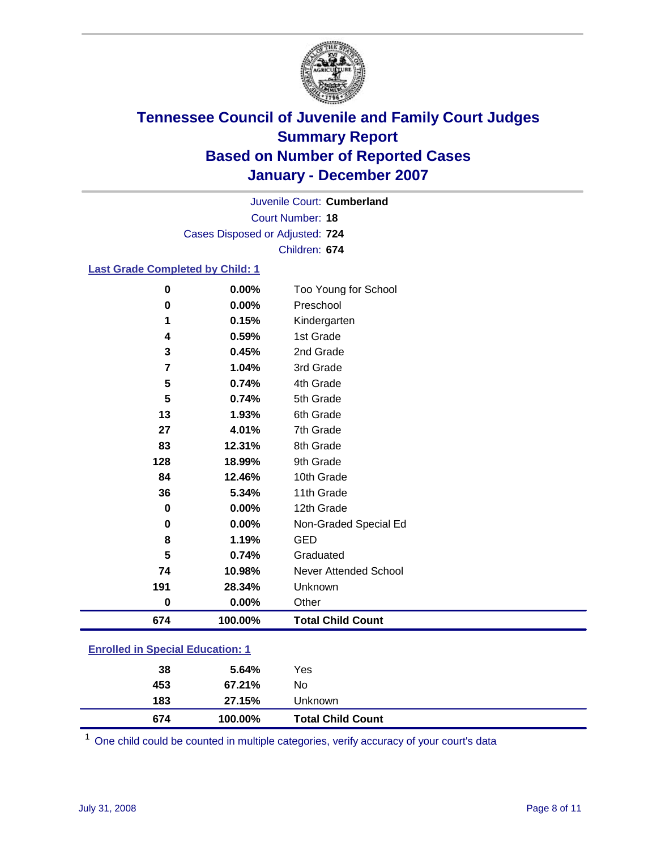

Court Number: **18** Juvenile Court: **Cumberland** Cases Disposed or Adjusted: **724** Children: **674**

### **Last Grade Completed by Child: 1**

| 674      | 100.00% | <b>Total Child Count</b> |
|----------|---------|--------------------------|
| $\bf{0}$ | 0.00%   | Other                    |
| 191      | 28.34%  | Unknown                  |
| 74       | 10.98%  | Never Attended School    |
| 5        | 0.74%   | Graduated                |
| 8        | 1.19%   | <b>GED</b>               |
| 0        | 0.00%   | Non-Graded Special Ed    |
| $\bf{0}$ | 0.00%   | 12th Grade               |
| 36       | 5.34%   | 11th Grade               |
| 84       | 12.46%  | 10th Grade               |
| 128      | 18.99%  | 9th Grade                |
| 83       | 12.31%  | 8th Grade                |
| 27       | 4.01%   | 7th Grade                |
| 13       | 1.93%   | 6th Grade                |
| 5        | 0.74%   | 5th Grade                |
| 5        | 0.74%   | 4th Grade                |
| 7        | 1.04%   | 3rd Grade                |
| 3        | 0.45%   | 2nd Grade                |
| 4        | 0.59%   | 1st Grade                |
| 1        | 0.15%   | Kindergarten             |
| 0        | 0.00%   | Preschool                |
| $\bf{0}$ | 0.00%   | Too Young for School     |

### **Enrolled in Special Education: 1**

| 674 | 100.00% | <b>Total Child Count</b> |  |
|-----|---------|--------------------------|--|
| 183 | 27.15%  | Unknown                  |  |
| 453 | 67.21%  | No                       |  |
| 38  | 5.64%   | Yes                      |  |
|     |         |                          |  |

<sup>1</sup> One child could be counted in multiple categories, verify accuracy of your court's data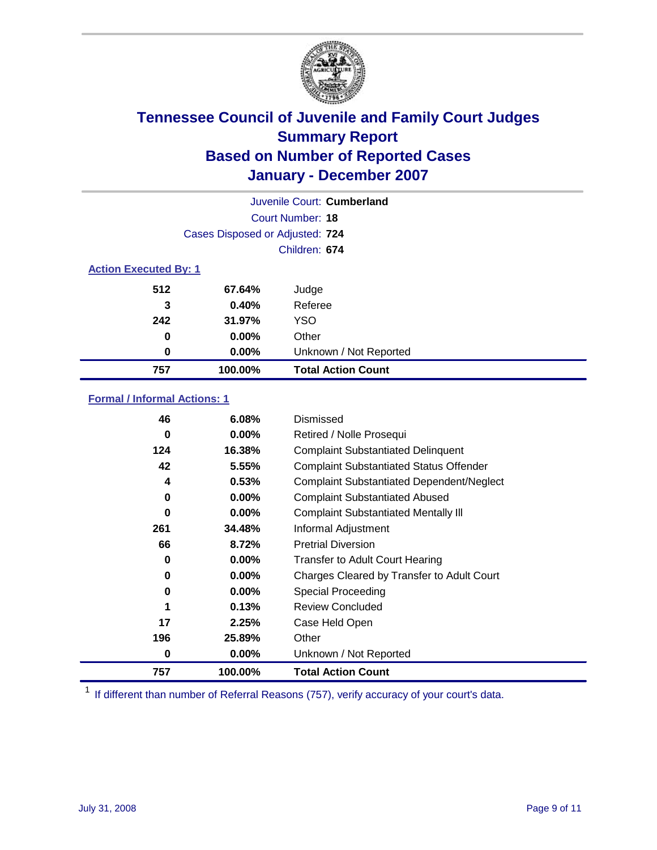

|                              |                                 | Juvenile Court: Cumberland |
|------------------------------|---------------------------------|----------------------------|
|                              |                                 | Court Number: 18           |
|                              | Cases Disposed or Adjusted: 724 |                            |
|                              |                                 | Children: 674              |
| <b>Action Executed By: 1</b> |                                 |                            |
| 512                          | 67.64%                          | Judge                      |
| 3                            | 0.40%                           | Referee                    |
| 242                          | 31.97%                          | <b>YSO</b>                 |
| 0                            | $0.00\%$                        | Other                      |
| 0                            | $0.00\%$                        | Unknown / Not Reported     |
| 757                          | 100.00%                         | <b>Total Action Count</b>  |

### **Formal / Informal Actions: 1**

| 46  | 6.08%    | Dismissed                                        |
|-----|----------|--------------------------------------------------|
| 0   | 0.00%    | Retired / Nolle Prosequi                         |
| 124 | 16.38%   | <b>Complaint Substantiated Delinquent</b>        |
| 42  | 5.55%    | <b>Complaint Substantiated Status Offender</b>   |
| 4   | 0.53%    | <b>Complaint Substantiated Dependent/Neglect</b> |
| 0   | 0.00%    | <b>Complaint Substantiated Abused</b>            |
| 0   | $0.00\%$ | <b>Complaint Substantiated Mentally III</b>      |
| 261 | 34.48%   | Informal Adjustment                              |
| 66  | 8.72%    | <b>Pretrial Diversion</b>                        |
| 0   | 0.00%    | <b>Transfer to Adult Court Hearing</b>           |
| 0   | $0.00\%$ | Charges Cleared by Transfer to Adult Court       |
| 0   | $0.00\%$ | Special Proceeding                               |
| 1   | 0.13%    | <b>Review Concluded</b>                          |
| 17  | 2.25%    | Case Held Open                                   |
| 196 | 25.89%   | Other                                            |
| 0   | 0.00%    | Unknown / Not Reported                           |
| 757 | 100.00%  | <b>Total Action Count</b>                        |

<sup>1</sup> If different than number of Referral Reasons (757), verify accuracy of your court's data.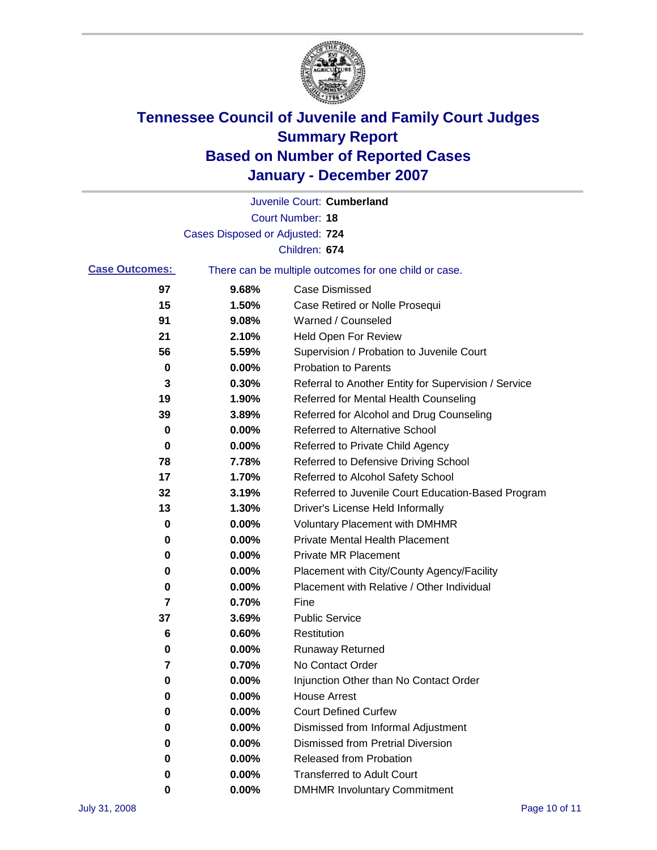

|                       |                                 | Juvenile Court: Cumberland                            |
|-----------------------|---------------------------------|-------------------------------------------------------|
|                       |                                 | Court Number: 18                                      |
|                       | Cases Disposed or Adjusted: 724 |                                                       |
|                       |                                 | Children: 674                                         |
| <b>Case Outcomes:</b> |                                 | There can be multiple outcomes for one child or case. |
| 97                    | 9.68%                           | <b>Case Dismissed</b>                                 |
| 15                    | 1.50%                           | Case Retired or Nolle Prosequi                        |
| 91                    | 9.08%                           | Warned / Counseled                                    |
| 21                    | 2.10%                           | Held Open For Review                                  |
| 56                    | 5.59%                           | Supervision / Probation to Juvenile Court             |
| 0                     | 0.00%                           | <b>Probation to Parents</b>                           |
| 3                     | 0.30%                           | Referral to Another Entity for Supervision / Service  |
| 19                    | 1.90%                           | Referred for Mental Health Counseling                 |
| 39                    | 3.89%                           | Referred for Alcohol and Drug Counseling              |
| 0                     | 0.00%                           | <b>Referred to Alternative School</b>                 |
| 0                     | 0.00%                           | Referred to Private Child Agency                      |
| 78                    | 7.78%                           | Referred to Defensive Driving School                  |
| 17                    | 1.70%                           | Referred to Alcohol Safety School                     |
| 32                    | 3.19%                           | Referred to Juvenile Court Education-Based Program    |
| 13                    | 1.30%                           | Driver's License Held Informally                      |
| 0                     | 0.00%                           | <b>Voluntary Placement with DMHMR</b>                 |
| 0                     | 0.00%                           | <b>Private Mental Health Placement</b>                |
| 0                     | 0.00%                           | <b>Private MR Placement</b>                           |
| 0                     | 0.00%                           | Placement with City/County Agency/Facility            |
| 0                     | 0.00%                           | Placement with Relative / Other Individual            |
| 7                     | 0.70%                           | Fine                                                  |
| 37                    | 3.69%                           | <b>Public Service</b>                                 |
| 6                     | 0.60%                           | Restitution                                           |
| 0                     | 0.00%                           | <b>Runaway Returned</b>                               |
| 7                     | 0.70%                           | No Contact Order                                      |
| $\pmb{0}$             | 0.00%                           | Injunction Other than No Contact Order                |
| 0                     | 0.00%                           | <b>House Arrest</b>                                   |
| 0                     | 0.00%                           | <b>Court Defined Curfew</b>                           |
| 0                     | 0.00%                           | Dismissed from Informal Adjustment                    |
| 0                     | 0.00%                           | <b>Dismissed from Pretrial Diversion</b>              |
| 0                     | 0.00%                           | <b>Released from Probation</b>                        |
| 0                     | 0.00%                           | <b>Transferred to Adult Court</b>                     |
| 0                     | 0.00%                           | <b>DMHMR Involuntary Commitment</b>                   |